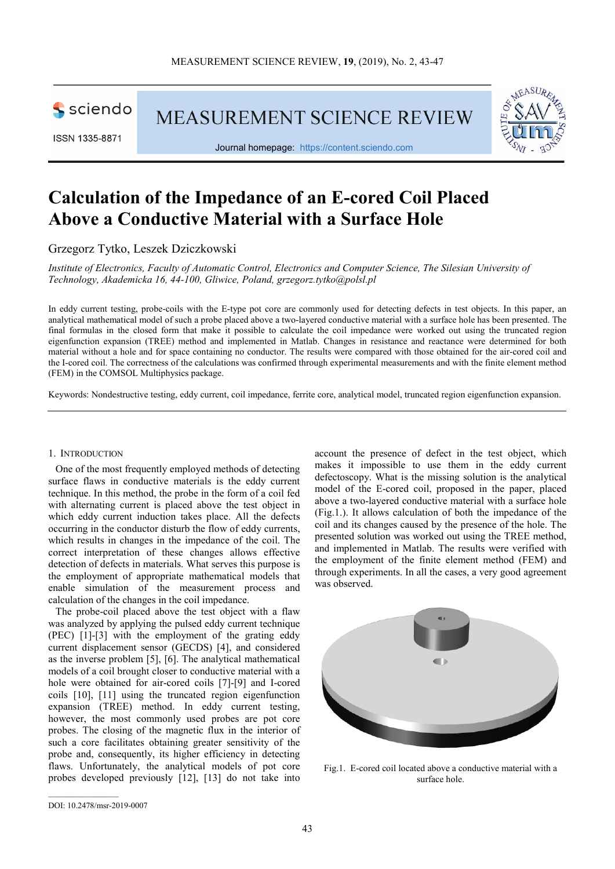

ISSN 1335-8871

**MEASUREMENT SCIENCE REVIEW** 



Journal homepage: https://content.sciendo.com

# **Calculation of the Impedance of an E-cored Coil Placed Above a Conductive Material with a Surface Hole**

Grzegorz Tytko, Leszek Dziczkowski

*Institute of Electronics, Faculty of Automatic Control, Electronics and Computer Science, The Silesian University of Technology, Akademicka 16, 44-100, Gliwice, Poland, grzegorz.tytko@polsl.pl* 

In eddy current testing, probe-coils with the E-type pot core are commonly used for detecting defects in test objects. In this paper, an analytical mathematical model of such a probe placed above a two-layered conductive material with a surface hole has been presented. The final formulas in the closed form that make it possible to calculate the coil impedance were worked out using the truncated region eigenfunction expansion (TREE) method and implemented in Matlab. Changes in resistance and reactance were determined for both material without a hole and for space containing no conductor. The results were compared with those obtained for the air-cored coil and the I-cored coil. The correctness of the calculations was confirmed through experimental measurements and with the finite element method (FEM) in the COMSOL Multiphysics package.

Keywords: Nondestructive testing, eddy current, coil impedance, ferrite core, analytical model, truncated region eigenfunction expansion.

## 1. INTRODUCTION

One of the most frequently employed methods of detecting surface flaws in conductive materials is the eddy current technique. In this method, the probe in the form of a coil fed with alternating current is placed above the test object in which eddy current induction takes place. All the defects occurring in the conductor disturb the flow of eddy currents, which results in changes in the impedance of the coil. The correct interpretation of these changes allows effective detection of defects in materials. What serves this purpose is the employment of appropriate mathematical models that enable simulation of the measurement process and calculation of the changes in the coil impedance.

The probe-coil placed above the test object with a flaw was analyzed by applying the pulsed eddy current technique (PEC) [1]-[3] with the employment of the grating eddy current displacement sensor (GECDS) [4], and considered as the inverse problem [5], [6]. The analytical mathematical models of a coil brought closer to conductive material with a hole were obtained for air-cored coils [7]-[9] and I-cored coils [10], [11] using the truncated region eigenfunction expansion (TREE) method. In eddy current testing, however, the most commonly used probes are pot core probes. The closing of the magnetic flux in the interior of such a core facilitates obtaining greater sensitivity of the probe and, consequently, its higher efficiency in detecting flaws. Unfortunately, the analytical models of pot core probes developed previously [12], [13] do not take into

account the presence of defect in the test object, which makes it impossible to use them in the eddy current defectoscopy. What is the missing solution is the analytical model of the E-cored coil, proposed in the paper, placed above a two-layered conductive material with a surface hole (Fig.1.). It allows calculation of both the impedance of the coil and its changes caused by the presence of the hole. The presented solution was worked out using the TREE method, and implemented in Matlab. The results were verified with the employment of the finite element method (FEM) and through experiments. In all the cases, a very good agreement was observed.



Fig.1. E-cored coil located above a conductive material with a surface hole.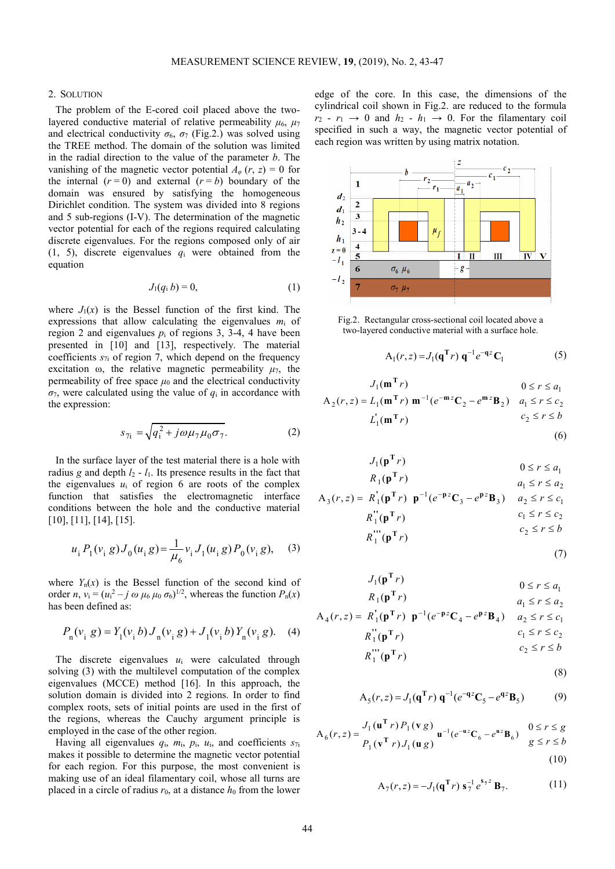#### 2. SOLUTION

The problem of the E-cored coil placed above the twolayered conductive material of relative permeability  $\mu_6$ ,  $\mu_7$ and electrical conductivity  $\sigma_6$ ,  $\sigma_7$  (Fig.2.) was solved using the TREE method. The domain of the solution was limited in the radial direction to the value of the parameter *b*. The vanishing of the magnetic vector potential  $A_{\varphi}$  (*r*, *z*) = 0 for the internal  $(r = 0)$  and external  $(r = b)$  boundary of the domain was ensured by satisfying the homogeneous Dirichlet condition. The system was divided into 8 regions and 5 sub-regions (I-V). The determination of the magnetic vector potential for each of the regions required calculating discrete eigenvalues. For the regions composed only of air (1, 5), discrete eigenvalues *q*i were obtained from the equation

$$
J_1(q_i b) = 0,\t\t(1)
$$

where  $J_1(x)$  is the Bessel function of the first kind. The expressions that allow calculating the eigenvalues *m*i of region 2 and eigenvalues  $p_i$  of regions 3, 3-4, 4 have been presented in [10] and [13], respectively. The material coefficients  $s_{7i}$  of region 7, which depend on the frequency excitation  $\omega$ , the relative magnetic permeability  $\mu_7$ , the permeability of free space  $\mu_0$  and the electrical conductivity  $\sigma_7$ , were calculated using the value of  $q_i$  in accordance with the expression:

$$
s_{7i} = \sqrt{q_i^2 + j\omega\mu_7\mu_0\sigma_7}.
$$
 (2)

In the surface layer of the test material there is a hole with radius *g* and depth  $l_2$  -  $l_1$ . Its presence results in the fact that the eigenvalues  $u_i$  of region 6 are roots of the complex function that satisfies the electromagnetic interface conditions between the hole and the conductive material [10], [11], [14], [15].

$$
u_i P_1(v_i g) J_0(u_i g) = \frac{1}{\mu_6} v_i J_1(u_i g) P_0(v_i g), \quad (3)
$$

where  $Y_n(x)$  is the Bessel function of the second kind of order *n*,  $v_i = (u_i^2 - j \omega \mu_6 \mu_0 \sigma_6)^{1/2}$ , whereas the function  $P_n(x)$ has been defined as:

$$
P_{n}(v_{i} g) = Y_{1}(v_{i} b) J_{n}(v_{i} g) + J_{1}(v_{i} b) Y_{n}(v_{i} g).
$$
 (4)

The discrete eigenvalues *u*i were calculated through solving (3) with the multilevel computation of the complex eigenvalues (MCCE) method [16]. In this approach, the solution domain is divided into 2 regions. In order to find complex roots, sets of initial points are used in the first of the regions, whereas the Cauchy argument principle is employed in the case of the other region.

Having all eigenvalues  $q_i$ ,  $m_i$ ,  $p_i$ ,  $u_i$ , and coefficients  $s_{7i}$ makes it possible to determine the magnetic vector potential for each region. For this purpose, the most convenient is making use of an ideal filamentary coil, whose all turns are placed in a circle of radius  $r_0$ , at a distance  $h_0$  from the lower edge of the core. In this case, the dimensions of the cylindrical coil shown in Fig.2. are reduced to the formula  $r_2 - r_1 \rightarrow 0$  and  $h_2 - h_1 \rightarrow 0$ . For the filamentary coil specified in such a way, the magnetic vector potential of each region was written by using matrix notation.



Fig.2. Rectangular cross-sectional coil located above a two-layered conductive material with a surface hole.

$$
A_1(r, z) = J_1(q^{\mathrm{T}} r) q^{-1} e^{-qz} C_1
$$
 (5)

$$
J_1(\mathbf{m}^T r) \qquad \qquad 0 \le r \le a_1
$$
  
\n
$$
A_2(r, z) = L_1(\mathbf{m}^T r) \mathbf{m}^{-1} (e^{-\mathbf{m} z} \mathbf{C}_2 - e^{\mathbf{m} z} \mathbf{B}_2) \qquad a_1 \le r \le c_2
$$
  
\n
$$
L_1(\mathbf{m}^T r) \qquad \qquad c_2 \le r \le b
$$
  
\n(6)

$$
J_1(\mathbf{p}^T r)
$$
  
\n
$$
R_1(\mathbf{p}^T r)
$$
  
\n
$$
0 \le r \le a_1
$$
  
\n
$$
a_1 \le r \le a_2
$$

$$
A_3(r, z) = R_1^{\dagger}(\mathbf{p}^{\mathrm{T}} r) \mathbf{p}^{-1}(e^{-\mathbf{p} z} \mathbf{C}_3 - e^{\mathbf{p} z} \mathbf{B}_3) \quad a_2 \le r \le c_1
$$
  

$$
R_1^{\dagger}(\mathbf{p}^{\mathrm{T}} r) \qquad c_1 \le r \le c_2
$$
  

$$
R_1^{\dagger\dagger}(\mathbf{p}^{\mathrm{T}} r) \qquad c_2 \le r \le b
$$

$$
(7)
$$

$$
J_1(\mathbf{p}^T r)
$$
  
\n
$$
B_1(\mathbf{p}^T r)
$$
  
\n
$$
A_4(r, z) = R'_1(\mathbf{p}^T r) \mathbf{p}^{-1}(e^{-\mathbf{p}z}\mathbf{C}_4 - e^{\mathbf{p}z}\mathbf{B}_4)
$$
  
\n
$$
a_1 \le r \le a_2
$$
  
\n
$$
R''_1(\mathbf{p}^T r)
$$
  
\n
$$
a_1 \le r \le a_2
$$
  
\n
$$
a_1 \le r \le a_2
$$
  
\n
$$
a_1 \le r \le a_2
$$
  
\n
$$
c_1 \le r \le c_2
$$
  
\n
$$
c_2 \le r \le b
$$

$$
(8)
$$

$$
A_5(r, z) = J_1(q^T r) q^{-1} (e^{-qz} C_5 - e^{qz} B_5)
$$
 (9)

$$
A_6(r, z) = \frac{J_1(\mathbf{u}^T r) P_1(\mathbf{v} g)}{P_1(\mathbf{v}^T r) J_1(\mathbf{u} g)} \mathbf{u}^{-1}(e^{-\mathbf{u} z} C_6 - e^{\mathbf{u} z} B_6) \quad \begin{array}{c} 0 \le r \le g \\ g \le r \le b \end{array}
$$
\n(10)

$$
A_7(r, z) = -J_1(\mathbf{q}^T r) s_7^{-1} e^{s_7 z} \mathbf{B}_7.
$$
 (11)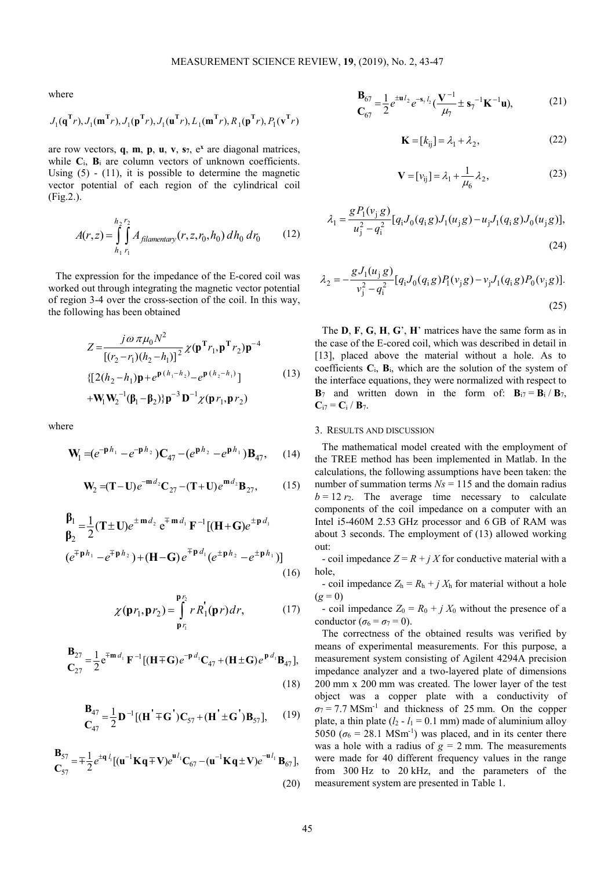where

$$
J_1(\mathbf{q}^{\mathrm{T}}r), J_1(\mathbf{m}^{\mathrm{T}}r), J_1(\mathbf{p}^{\mathrm{T}}r), J_1(\mathbf{u}^{\mathrm{T}}r), L_1(\mathbf{m}^{\mathrm{T}}r), R_1(\mathbf{p}^{\mathrm{T}}r), P_1(\mathbf{v}^{\mathrm{T}}r)
$$

are row vectors, **q**, **m**, **p**, **u**, **v**, **s7**, e**<sup>x</sup>** are diagonal matrices, while  $C_i$ ,  $B_i$  are column vectors of unknown coefficients. Using  $(5)$  -  $(11)$ , it is possible to determine the magnetic vector potential of each region of the cylindrical coil (Fig.2.).

$$
A(r,z) = \int_{h_1}^{h_2} \int_{r_1}^{r_2} A_{filamentary}(r, z, r_0, h_0) \, dh_0 \, dr_0 \tag{12}
$$

The expression for the impedance of the E-cored coil was worked out through integrating the magnetic vector potential of region 3-4 over the cross-section of the coil. In this way, the following has been obtained

$$
Z = \frac{j\omega \pi \mu_0 N^2}{[(r_2 - r_1)(h_2 - h_1)]^2} \chi(\mathbf{p}^T r_1, \mathbf{p}^T r_2) \mathbf{p}^{-4}
$$
  
\n
$$
\{[2(h_2 - h_1)\mathbf{p} + e^{\mathbf{p}(h_1 - h_2)} - e^{\mathbf{p}(h_2 - h_1)}] + \mathbf{W}_1 \mathbf{W}_2^{-1} (\beta_1 - \beta_2) \mathbf{p}^{-3} \mathbf{D}^{-1} \chi(\mathbf{p} r_1, \mathbf{p} r_2)
$$
\n(13)

where

$$
\mathbf{W}_{1} = (e^{-\mathbf{p}h_{1}} - e^{-\mathbf{p}h_{2}})\mathbf{C}_{47} - (e^{\mathbf{p}h_{2}} - e^{\mathbf{p}h_{1}})\mathbf{B}_{47}, \quad (14)
$$

$$
\mathbf{W}_2 = (\mathbf{T} - \mathbf{U})e^{-\mathbf{m}d_2}\mathbf{C}_{27} - (\mathbf{T} + \mathbf{U})e^{\mathbf{m}d_2}\mathbf{B}_{27},\tag{15}
$$

$$
\mathbf{B}_{1} = \frac{1}{2} (\mathbf{T} \pm \mathbf{U}) e^{\pm \mathbf{m} d_{2}} e^{\mp \mathbf{m} d_{1}} \mathbf{F}^{-1} [(\mathbf{H} + \mathbf{G}) e^{\pm \mathbf{p} d_{1}}
$$
\n
$$
(e^{\mp \mathbf{p} h_{1}} - e^{\mp \mathbf{p} h_{2}}) + (\mathbf{H} - \mathbf{G}) e^{\mp \mathbf{p} d_{1}} (e^{\pm \mathbf{p} h_{2}} - e^{\pm \mathbf{p} h_{1}})]
$$
\n(16)

$$
\chi(\mathbf{p}r_1, \mathbf{p}r_2) = \int_{\mathbf{p}r_1}^{\mathbf{p}r_2} r R_1(\mathbf{p}r) dr, \qquad (17)
$$

$$
\mathbf{B}_{27} = \frac{1}{2} e^{\mp \mathbf{m} \, d_1} \, \mathbf{F}^{-1} \left[ (\mathbf{H} \mp \mathbf{G}) e^{-\mathbf{p} \, d_1} \mathbf{C}_{47} + (\mathbf{H} \pm \mathbf{G}) e^{\mathbf{p} \, d_1} \mathbf{B}_{47} \right],\tag{18}
$$

$$
\mathbf{B}_{47} = \frac{1}{2} \mathbf{D}^{-1} [(\mathbf{H}^{\dagger} \mp \mathbf{G}^{\dagger}) \mathbf{C}_{57} + (\mathbf{H}^{\dagger} \pm \mathbf{G}^{\dagger}) \mathbf{B}_{57}], \quad (19)
$$

$$
\mathbf{B}_{57} = \pm \frac{1}{2} e^{\pm \mathbf{q} l_1} [(\mathbf{u}^{-1} \mathbf{K} \mathbf{q} \mp \mathbf{V}) e^{\mathbf{u} l_1} \mathbf{C}_{67} - (\mathbf{u}^{-1} \mathbf{K} \mathbf{q} \pm \mathbf{V}) e^{-\mathbf{u} l_1} \mathbf{B}_{67}],
$$
\n(20)

$$
\mathbf{B}_{67} = \frac{1}{2} e^{\pm \mathbf{u} I_2} e^{-\mathbf{s}_7 I_2} \left( \frac{\mathbf{V}^{-1}}{\mu_7} \pm \mathbf{s}_7^{-1} \mathbf{K}^{-1} \mathbf{u} \right),\tag{21}
$$

$$
\mathbf{K} = [k_{ij}] = \lambda_1 + \lambda_2,\tag{22}
$$

$$
\mathbf{V} = [v_{ij}] = \lambda_1 + \frac{1}{\mu_6} \lambda_2, \tag{23}
$$

$$
\lambda_1 = \frac{g P_1(v_j g)}{u_j^2 - q_i^2} [q_i J_0(q_i g) J_1(u_j g) - u_j J_1(q_i g) J_0(u_j g)],
$$
\n(24)

$$
\lambda_2 = -\frac{gJ_1(u_j g)}{v_j^2 - q_i^2} [q_i J_0(q_i g) P_1(v_j g) - v_j J_1(q_i g) P_0(v_j g)].
$$
\n(25)

The **D**, **F**, **G**, **H**, **G**', **H**' matrices have the same form as in the case of the E-cored coil, which was described in detail in [13], placed above the material without a hole. As to coefficients  $C_i$ ,  $B_i$ , which are the solution of the system of the interface equations, they were normalized with respect to  $\mathbf{B}_7$  and written down in the form of:  $\mathbf{B}_{17} = \mathbf{B}_1 / \mathbf{B}_7$ ,  $C_{i7} = C_i / B_7$ .

### 3. RESULTS AND DISCUSSION

The mathematical model created with the employment of the TREE method has been implemented in Matlab. In the calculations, the following assumptions have been taken: the number of summation terms  $N_s = 115$  and the domain radius  $b = 12 r_2$ . The average time necessary to calculate components of the coil impedance on a computer with an Intel i5-460M 2.53 GHz processor and 6 GB of RAM was about 3 seconds. The employment of (13) allowed working out:

- coil impedance  $Z = R + j X$  for conductive material with a hole,

- coil impedance  $Z_h = R_h + j X_h$  for material without a hole  $(g = 0)$ 

- coil impedance  $Z_0 = R_0 + j X_0$  without the presence of a conductor ( $\sigma_6 = \sigma_7 = 0$ ).

The correctness of the obtained results was verified by means of experimental measurements. For this purpose, a measurement system consisting of Agilent 4294A precision impedance analyzer and a two-layered plate of dimensions 200 mm x 200 mm was created. The lower layer of the test object was a copper plate with a conductivity of  $\sigma$ <sup>7</sup> = 7.7 MSm<sup>-1</sup> and thickness of 25 mm. On the copper plate, a thin plate  $(l_2 - l_1 = 0.1$  mm) made of aluminium alloy 5050 ( $\sigma_6$  = 28.1 MSm<sup>-1</sup>) was placed, and in its center there was a hole with a radius of  $g = 2$  mm. The measurements were made for 40 different frequency values in the range from 300 Hz to 20 kHz, and the parameters of the measurement system are presented in Table 1.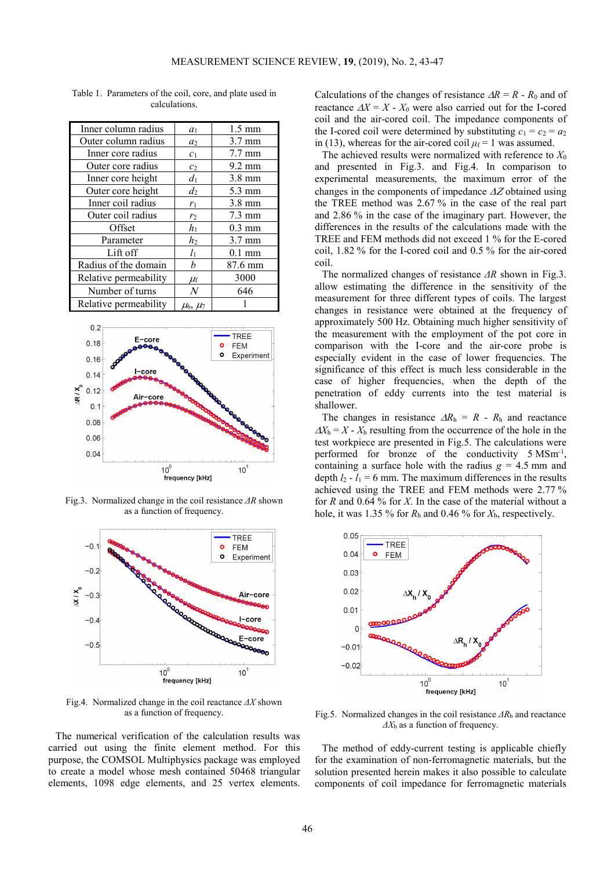| Inner column radius   | a <sub>1</sub>    | $1.5 \text{ mm}$ |
|-----------------------|-------------------|------------------|
| Outer column radius   | a <sub>2</sub>    | $3.7 \text{ mm}$ |
| Inner core radius     | c <sub>1</sub>    | $7.7 \text{ mm}$ |
| Outer core radius     | c <sub>2</sub>    | $9.2 \text{ mm}$ |
| Inner core height     | $d_1$             | $3.8 \text{ mm}$ |
| Outer core height     | $d_2$             | $5.3 \text{ mm}$ |
| Inner coil radius     | $r_1$             | $3.8 \text{ mm}$ |
| Outer coil radius     | r <sub>2</sub>    | $7.3 \text{ mm}$ |
| Offset                | $h_1$             | $0.3 \text{ mm}$ |
| Parameter             | $h_2$             | $3.7 \text{ mm}$ |
| Lift off              | $l_1$             | $0.1$ mm         |
| Radius of the domain  | h                 | 87.6 mm          |
| Relative permeability | $\mu_{\rm f}$     | 3000             |
| Number of turns       | $\,N$             | 646              |
| Relative permeability | $\mu_6$ , $\mu_7$ |                  |

Table 1. Parameters of the coil, core, and plate used in calculations.



Fig.3. Normalized change in the coil resistance *ΔR* shown as a function of frequency.



Fig.4. Normalized change in the coil reactance *ΔX* shown as a function of frequency.

The numerical verification of the calculation results was carried out using the finite element method. For this purpose, the COMSOL Multiphysics package was employed to create a model whose mesh contained 50468 triangular elements, 1098 edge elements, and 25 vertex elements.

Calculations of the changes of resistance ∆*R* = *R* - *R*0 and of reactance  $\Delta X = X - X_0$  were also carried out for the I-cored coil and the air-cored coil. The impedance components of the I-cored coil were determined by substituting  $c_1 = c_2 = a_2$ in (13), whereas for the air-cored coil  $\mu_f = 1$  was assumed.

The achieved results were normalized with reference to *X*<sup>0</sup> and presented in Fig.3. and Fig.4. In comparison to experimental measurements, the maximum error of the changes in the components of impedance ∆Ζ obtained using the TREE method was 2.67 % in the case of the real part and 2.86 % in the case of the imaginary part. However, the differences in the results of the calculations made with the TREE and FEM methods did not exceed 1 % for the E-cored coil, 1.82 % for the I-cored coil and 0.5 % for the air-cored coil.

The normalized changes of resistance *ΔR* shown in Fig.3. allow estimating the difference in the sensitivity of the measurement for three different types of coils. The largest changes in resistance were obtained at the frequency of approximately 500 Hz. Obtaining much higher sensitivity of the measurement with the employment of the pot core in comparison with the I-core and the air-core probe is especially evident in the case of lower frequencies. The significance of this effect is much less considerable in the case of higher frequencies, when the depth of the penetration of eddy currents into the test material is shallower.

The changes in resistance  $\Delta R_h = R - R_h$  and reactance  $\Delta X_h = X - X_h$  resulting from the occurrence of the hole in the test workpiece are presented in Fig.5. The calculations were performed for bronze of the conductivity 5 MSm<sup>-1</sup>, containing a surface hole with the radius  $g = 4.5$  mm and depth  $l_2$  -  $l_1$  = 6 mm. The maximum differences in the results achieved using the TREE and FEM methods were 2.77 % for *R* and 0.64 % for *X*. In the case of the material without a hole, it was 1.35 % for *R*h and 0.46 % for *X*h, respectively.



Fig.5. Normalized changes in the coil resistance *ΔR*h and reactance *ΔX*h as a function of frequency.

The method of eddy-current testing is applicable chiefly for the examination of non-ferromagnetic materials, but the solution presented herein makes it also possible to calculate components of coil impedance for ferromagnetic materials